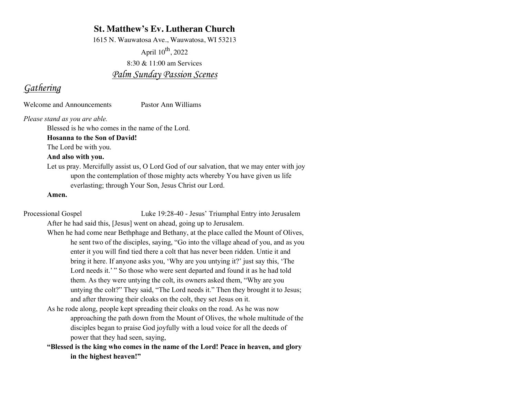### **St. Matthew's Ev. Lutheran Church**

1615 N. Wauwatosa Ave., Wauwatosa, WI 53213

April  $10^{th}$ , 2022 8:30 & 11:00 am Services *Palm Sunday Passion Scenes*

### *Gathering*

Welcome and Announcements Pastor Ann Williams

*Please stand as you are able.*

Blessed is he who comes in the name of the Lord.

### **Hosanna to the Son of David!**

The Lord be with you.

### **And also with you.**

Let us pray. Mercifully assist us, O Lord God of our salvation, that we may enter with joy upon the contemplation of those mighty acts whereby You have given us life everlasting; through Your Son, Jesus Christ our Lord.

#### **Amen.**

Processional Gospel Luke 19:28-40 - Jesus' Triumphal Entry into Jerusalem After he had said this, [Jesus] went on ahead, going up to Jerusalem.

- When he had come near Bethphage and Bethany, at the place called the Mount of Olives, he sent two of the disciples, saying, "Go into the village ahead of you, and as you enter it you will find tied there a colt that has never been ridden. Untie it and bring it here. If anyone asks you, 'Why are you untying it?' just say this, 'The Lord needs it.'" So those who were sent departed and found it as he had told them. As they were untying the colt, its owners asked them, "Why are you untying the colt?" They said, "The Lord needs it." Then they brought it to Jesus; and after throwing their cloaks on the colt, they set Jesus on it.
- As he rode along, people kept spreading their cloaks on the road. As he was now approaching the path down from the Mount of Olives, the whole multitude of the disciples began to praise God joyfully with a loud voice for all the deeds of power that they had seen, saying,

**"Blessed is the king who comes in the name of the Lord! Peace in heaven, and glory in the highest heaven!"**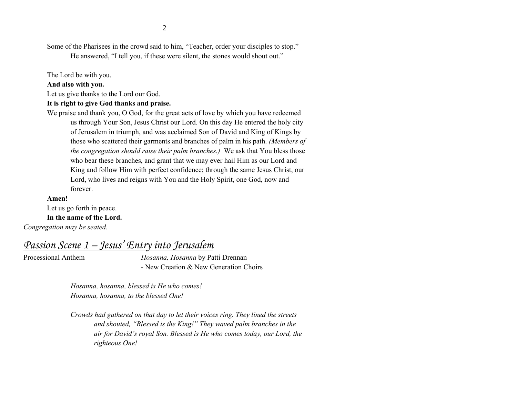2

Some of the Pharisees in the crowd said to him, "Teacher, order your disciples to stop."

He answered, "I tell you, if these were silent, the stones would shout out."

The Lord be with you.

#### **And also with you.**

Let us give thanks to the Lord our God.

### **It is right to give God thanks and praise.**

We praise and thank you, O God, for the great acts of love by which you have redeemed us through Your Son, Jesus Christ our Lord. On this day He entered the holy city of Jerusalem in triumph, and was acclaimed Son of David and King of Kings by those who scattered their garments and branches of palm in his path. *(Members of the congregation should raise their palm branches.)* We ask that You bless those who bear these branches, and grant that we may ever hail Him as our Lord and King and follow Him with perfect confidence; through the same Jesus Christ, our Lord, who lives and reigns with You and the Holy Spirit, one God, now and forever.

#### **Amen!**

Let us go forth in peace. **In the name of the Lord.**

*Congregation may be seated.*

*Passion Scene 1 – Jesus' Entry into Jerusalem*

Processional Anthem *Hosanna, Hosanna* by Patti Drennan - New Creation & New Generation Choirs

> *Hosanna, hosanna, blessed is He who comes! Hosanna, hosanna, to the blessed One!*

*Crowds had gathered on that day to let their voices ring. They lined the streets and shouted, "Blessed is the King!" They waved palm branches in the air for David's royal Son. Blessed is He who comes today, our Lord, the righteous One!*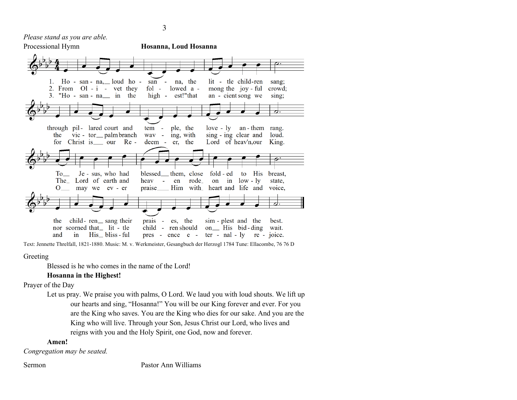*Please stand as you are able.*



Text: Jennette Threlfall, 1821-1880. Music: M. v. Werkmeister, Gesangbuch der Herzogl 1784 Tune: Ellacombe, 76 76 D

Greeting

Blessed is he who comes in the name of the Lord!

#### **Hosanna in the Highest!**

Prayer of the Day

Let us pray. We praise you with palms, O Lord. We laud you with loud shouts. We lift up our hearts and sing, "Hosanna!" You will be our King forever and ever. For you are the King who saves. You are the King who dies for our sake. And you are the King who will live. Through your Son, Jesus Christ our Lord, who lives and reigns with you and the Holy Spirit, one God, now and forever.

#### **Amen!**

*Congregation may be seated.*

Sermon Pastor Ann Williams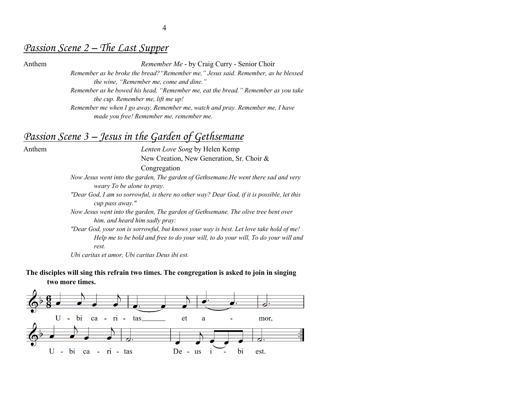## *Passion Scene 2 – The Last Supper*

Anthem *Remember Me* - by Craig Curry - Senior Choir

*Remember as he broke the bread?"Remember me," Jesus said. Remember, as he blessed the wine, "Remember me, come and dine."* 

*Remember as he bowed his head, "Remember me, eat the bread." Remember as you take the cup. Remember me, lift me up!*

*Remember me when I go away, Remember me, watch and pray. Remember me, I have made you free! Remember me, remember me.*

### *Passion Scene 3 – Jesus in the Garden of Gethsemane*

Anthem *Lenten Love Song* by Helen Kemp New Creation, New Generation, Sr. Choir &

Congregation

*Now Jesus went into the garden, The garden of Gethsemane.He went there sad and very weary To be alone to pray.* 

*"Dear God, I am so sorrowful, is there no other way? Dear God, if it is possible, let this cup pass away."* 

*Now Jesus went into the garden, The garden of Gethsemane. The olive tree bent over him, and heard him sadly pray:* 

*"Dear God, your son is sorrowful, but knows your way is best. Let love take hold of me! Help me to be bold and free to do your will, to do your will, To do your will and rest.*

*Ubi caritas et amor, Ubi caritas Deus ibi est.* 

**The disciples will sing this refrain two times. The congregation is asked to join in singing two more times.**

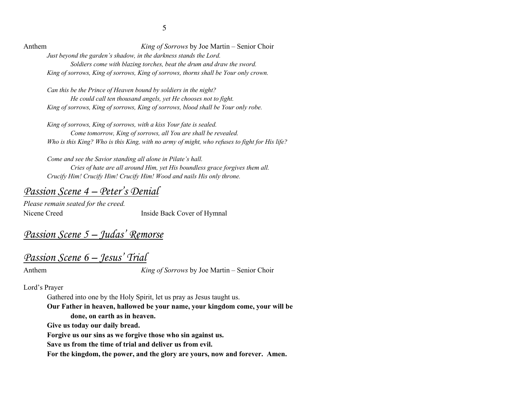Anthem *King of Sorrows* by Joe Martin – Senior Choir *Just beyond the garden's shadow, in the darkness stands the Lord. Soldiers come with blazing torches, beat the drum and draw the sword. King of sorrows, King of sorrows, King of sorrows, thorns shall be Your only crown.*

*Can this be the Prince of Heaven bound by soldiers in the night? He could call ten thousand angels, yet He chooses not to fight. King of sorrows, King of sorrows, King of sorrows, blood shall be Your only robe.*

*King of sorrows, King of sorrows, with a kiss Your fate is sealed. Come tomorrow, King of sorrows, all You are shall be revealed. Who is this King? Who is this King, with no army of might, who refuses to fight for His life?*

*Come and see the Savior standing all alone in Pilate's hall. Cries of hate are all around Him, yet His boundless grace forgives them all. Crucify Him! Crucify Him! Crucify Him! Wood and nails His only throne.* 

### *Passion Scene 4 – Peter's Denial*

*Please remain seated for the creed.* Nicene Creed Inside Back Cover of Hymnal

# *Passion Scene 5 – Judas' Remorse*

# *Passion Scene 6 – Jesus' Trial*

Anthem *King of Sorrows* by Joe Martin – Senior Choir

Lord's Prayer

Gathered into one by the Holy Spirit, let us pray as Jesus taught us.

**Our Father in heaven, hallowed be your name, your kingdom come, your will be done, on earth as in heaven.**

**Give us today our daily bread.** 

**Forgive us our sins as we forgive those who sin against us.** 

**Save us from the time of trial and deliver us from evil.**

**For the kingdom, the power, and the glory are yours, now and forever. Amen.**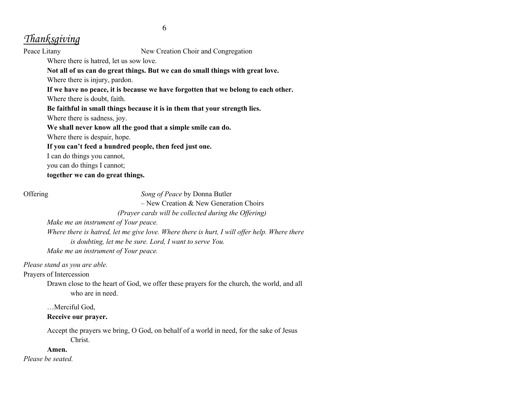# *Thanksgiving*

Peace Litany New Creation Choir and Congregation

Where there is hatred, let us sow love.

**Not all of us can do great things. But we can do small things with great love.**

Where there is injury, pardon.

**If we have no peace, it is because we have forgotten that we belong to each other.** Where there is doubt, faith.

**Be faithful in small things because it is in them that your strength lies.**

Where there is sadness, joy.

**We shall never know all the good that a simple smile can do.**

Where there is despair, hope.

**If you can't feed a hundred people, then feed just one.**

I can do things you cannot,

you can do things I cannot;

**together we can do great things.**

Offering *Song of Peace* by Donna Butler

– New Creation & New Generation Choirs

*(Prayer cards will be collected during the Offering)*

*Make me an instrument of Your peace.*

*Where there is hatred, let me give love. Where there is hurt, I will offer help. Where there is doubting, let me be sure. Lord, I want to serve You. Make me an instrument of Your peace.*

*Please stand as you are able.*

Prayers of Intercession

Drawn close to the heart of God, we offer these prayers for the church, the world, and all who are in need.

…Merciful God,

### **Receive our prayer.**

Accept the prayers we bring, O God, on behalf of a world in need, for the sake of Jesus Christ.

### **Amen.**

*Please be seated.*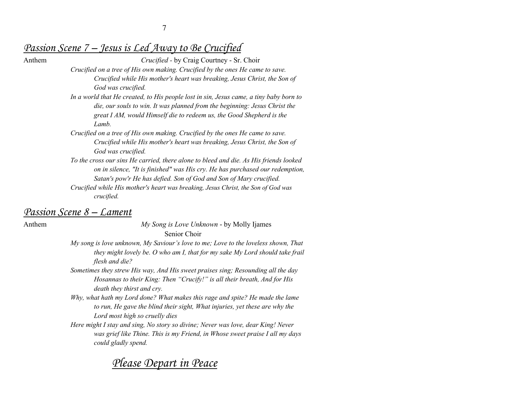## *Passion Scene 7 – Jesus is Led Away to Be Crucified*

Anthem *Crucified -* by Craig Courtney - Sr. Choir *Crucified on a tree of His own making. Crucified by the ones He came to save. Crucified while His mother's heart was breaking, Jesus Christ, the Son of God was crucified.*

- *In a world that He created, to His people lost in sin, Jesus came, a tiny baby born to die, our souls to win. It was planned from the beginning: Jesus Christ the great I AM, would Himself die to redeem us, the Good Shepherd is the Lamb.*
- *Crucified on a tree of His own making. Crucified by the ones He came to save. Crucified while His mother's heart was breaking, Jesus Christ, the Son of God was crucified.*
- *To the cross our sins He carried, there alone to bleed and die. As His friends looked on in silence, "It is finished" was His cry. He has purchased our redemption, Satan's pow'r He has defied. Son of God and Son of Mary crucified. Crucified while His mother's heart was breaking, Jesus Christ, the Son of God was*

### *Passion Scene 8 – Lament*

*crucified.*

Anthem *My Song is Love Unknown* - by Molly Ijames Senior Choir

> *My song is love unknown, My Saviour's love to me; Love to the loveless shown, That they might lovely be. O who am I, that for my sake My Lord should take frail flesh and die?*

*Sometimes they strew His way, And His sweet praises sing; Resounding all the day Hosannas to their King: Then "Crucify!" is all their breath, And for His death they thirst and cry.*

- *Why, what hath my Lord done? What makes this rage and spite? He made the lame to run, He gave the blind their sight, What injuries, yet these are why the Lord most high so cruelly dies*
- *Here might I stay and sing, No story so divine; Never was love, dear King! Never was grief like Thine. This is my Friend, in Whose sweet praise I all my days could gladly spend.*

# *Please Depart in Peace*